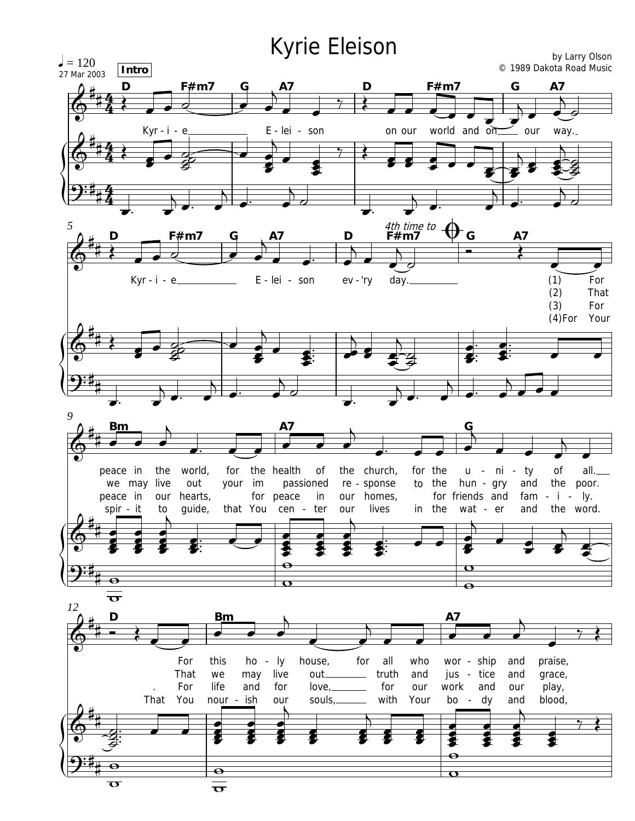## Kyrie Eleison

by Larry Olson  $= 120$ © 1989 Dakota Road Music Intro 27 Mar 2003 **A7** F#m7 G D F#m7 D Kyr-i-e E - lei - son world and on on our \_ our way. 4th time to  $\bigoplus$  **F**#m7 5 G A7 D F#m7 E - lei - son ev - 'ry day.  $(1)$ For  $Kyr - i - e$  $(2)$ That  $(3)$ For  $(4)$ For Your 9 **A7** peace in the world, for the health 0f the church, for the ni ty 0f all. u - $\overline{\phantom{a}}$ your im we may live out passioned sponse to the hun - gry and the poor. re - $- i - ly.$ peace in our hearts, for peace  $in$ homes, for friends and fam our spir - it guide, that You lives in the wat - er and the word. to cen - ter our  $\mathbf \sigma$  $\overline{\mathbf{e}}$  $\overline{\mathbf{O}}$  $\overline{\mathbf{e}}$  $\overline{\mathbf{o}}$ 12 D **Bm** A7 For this ho - ly for all who wor - ship house, and praise, That we may live truth and jus - tice and grace, out. For life and for  $love_{1-}$ for our work and our play, L. That You ish with Your dy blood, nour our souls, bo and  $\overline{\phantom{a}}$  $\overline{\phantom{a}}$  $\bullet$  $\overline{\mathbf{e}}$  $\overline{\mathbf{O}}$  $\overline{\mathbf{C}}$  $\overline{\sigma}$